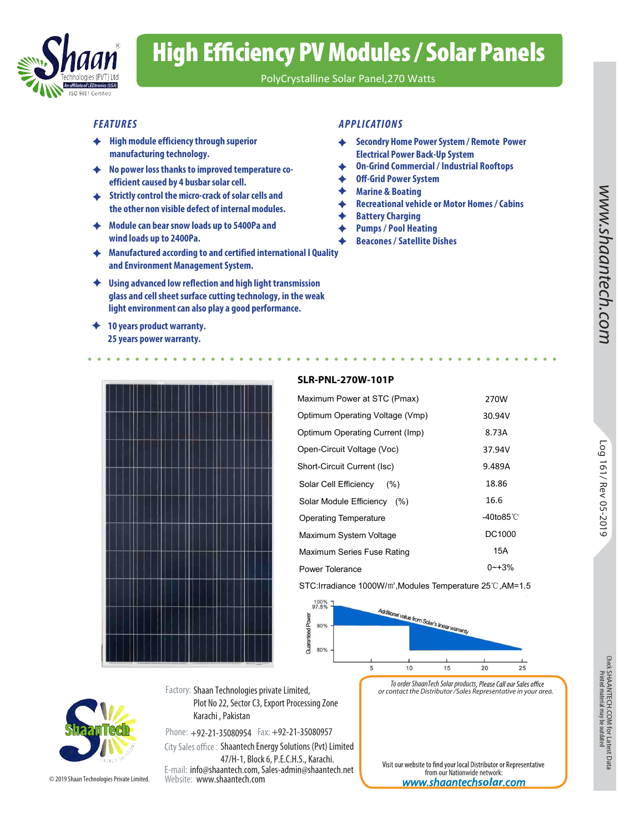

# High Efficiency PV Modules / Solar Panels

PolyCrystalline Solar Panel,270 Watts

- **High module efficiency through superior manufacturing technology.**
- **No power loss thanks to improved temperature coefficient caused by 4 busbar solar cell.**
- **Strictly control the micro-crack of solar cells and the other non visible defect of internal modules.**
- **Module can bear snow loads up to 5400Pa and wind loads up to 2400Pa.**
- **Manufactured according to and certified international I Quality and Environment Management System.**
- **Using advanced low reflection and high light transmission glass and cell sheet surface cutting technology, in the weak light environment can also play a good performance.**
- **10 years product warranty. 25 years power warranty.**

### *FEATURES APPLICATIONS*

- **Secondry Home Power System / Remote Power**  ۰ **Electrical Power Back-Up System**
- **On-Grind Commercial / Industrial Rooftops**  ۰
- **Off-Grid Power System**
- **Marine & Boating**
- **Recreational vehicle or Motor Homes / Cabins**  ۰
- **Battery Charging** ♦
- ♦ **Pumps / Pool Heating**
- **Beacones / Satellite Dishes**



#### **SLR-PNL-270W-101P**

| <b>SLR-PNL-270W-101P</b>                                                    |                     |                  |
|-----------------------------------------------------------------------------|---------------------|------------------|
| Maximum Power at STC (Pmax)                                                 | 270W                |                  |
| Optimum Operating Voltage (Vmp)                                             | 30.94V              |                  |
| Optimum Operating Current (Imp)                                             | 8.73A               |                  |
| Open-Circuit Voltage (Voc)                                                  | 37.94V              | Бo               |
| Short-Circuit Current (Isc)                                                 | 9.489A              |                  |
| Solar Cell Efficiency<br>(% )                                               | 18.86               | 161/ Rev 05-2019 |
| Solar Module Efficiency (%)                                                 | 16.6                |                  |
| <b>Operating Temperature</b>                                                | -40to85 $\degree$ C |                  |
| Maximum System Voltage                                                      | DC1000              |                  |
| Maximum Series Fuse Rating                                                  | 15A                 |                  |
| Power Tolerance                                                             | $0 - +3%$           |                  |
| STC: Irradiance 1000W/m <sup>2</sup> , Modules Temperature 25°C, AM=1.5     |                     |                  |
| 100%<br>97.5%<br>Additional value from Solar's linear uning<br>Power<br>90% |                     |                  |



*To order ShaanTech Solar products or contact the Distributor /Sales Representative in your area.*

© 2019 Shaan Technologies Private Limited.

Factory: Shaan Technologies private Limited, Plot No 22, Sector C3, Export Processing Zone Karachi , Pakistan

Phone: +92-21-35080954 Fax: +92-21-35080957 E-mail: info@shaantech.com, Sales-admin@shaantech.net Website: www.shaantech.com City Sales office: Shaantech Energy Solutions (Pvt) Limited 47/H-1, Block 6, P.E.C.H.S., Karachi.

Visit our website to find your local Distributor or Representative from our Nationwide network: *www.shaantech***solar***.com*